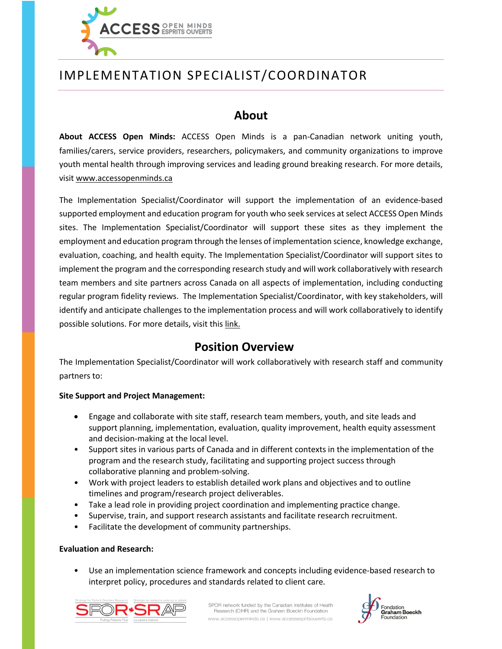

# IMPLEMENTATION SPECIALIST/COORDINATOR

### **About**

**About ACCESS Open Minds:** ACCESS Open Minds is a pan-Canadian network uniting youth, families/carers, service providers, researchers, policymakers, and community organizations to improve youth mental health through improving services and leading ground breaking research. For more details, visit www.accessopenminds.ca

The Implementation Specialist/Coordinator will support the implementation of an evidence-based supported employment and education program for youth who seek services at select ACCESS Open Minds sites. The Implementation Specialist/Coordinator will support these sites as they implement the employment and education program through the lenses of implementation science, knowledge exchange, evaluation, coaching, and health equity. The Implementation Specialist/Coordinator will support sites to implement the program and the corresponding research study and will work collaboratively with research team members and site partners across Canada on all aspects of implementation, including conducting regular program fidelity reviews. The Implementation Specialist/Coordinator, with key stakeholders, will identify and anticipate challenges to the implementation process and will work collaboratively to identify possible solutions. For more details, visit this link.

## **Position Overview**

The Implementation Specialist/Coordinator will work collaboratively with research staff and community partners to:

### **Site Support and Project Management:**

- Engage and collaborate with site staff, research team members, youth, and site leads and support planning, implementation, evaluation, quality improvement, health equity assessment and decision-making at the local level.
- Support sites in various parts of Canada and in different contexts in the implementation of the program and the research study, facilitating and supporting project success through collaborative planning and problem-solving.
- Work with project leaders to establish detailed work plans and objectives and to outline timelines and program/research project deliverables.
- Take a lead role in providing project coordination and implementing practice change.
- Supervise, train, and support research assistants and facilitate research recruitment.
- Facilitate the development of community partnerships.

### **Evaluation and Research:**

• Use an implementation science framework and concepts including evidence-based research to interpret policy, procedures and standards related to client care.



SPOR network funded by the Canadian Institutes of Health Research (CIHR) and the Graham Boeckh Foundation www.accessopenminds.ca | www.accessespritsouverts.ca

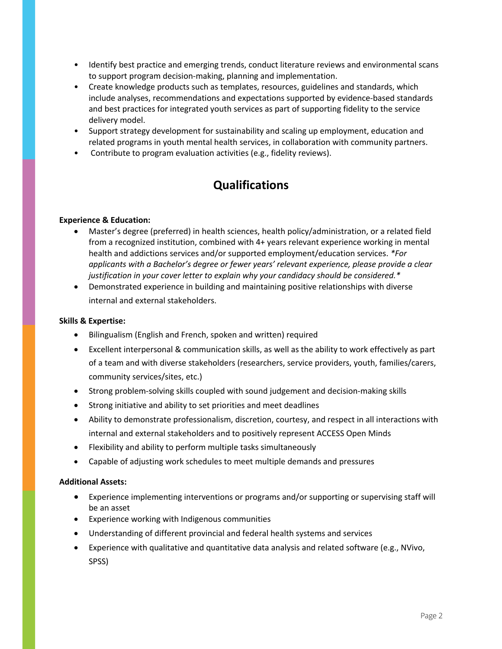- Identify best practice and emerging trends, conduct literature reviews and environmental scans to support program decision-making, planning and implementation.
- Create knowledge products such as templates, resources, guidelines and standards, which include analyses, recommendations and expectations supported by evidence-based standards and best practices for integrated youth services as part of supporting fidelity to the service delivery model.
- Support strategy development for sustainability and scaling up employment, education and related programs in youth mental health services, in collaboration with community partners.
- Contribute to program evaluation activities (e.g., fidelity reviews).

## **Qualifications**

### **Experience & Education:**

- Master's degree (preferred) in health sciences, health policy/administration, or a related field from a recognized institution, combined with 4+ years relevant experience working in mental health and addictions services and/or supported employment/education services. *\*For applicants with a Bachelor's degree or fewer years' relevant experience, please provide a clear justification in your cover letter to explain why your candidacy should be considered.\**
- Demonstrated experience in building and maintaining positive relationships with diverse internal and external stakeholders.

#### **Skills & Expertise:**

- Bilingualism (English and French, spoken and written) required
- Excellent interpersonal & communication skills, as well as the ability to work effectively as part of a team and with diverse stakeholders (researchers, service providers, youth, families/carers, community services/sites, etc.)
- Strong problem-solving skills coupled with sound judgement and decision-making skills
- Strong initiative and ability to set priorities and meet deadlines
- Ability to demonstrate professionalism, discretion, courtesy, and respect in all interactions with internal and external stakeholders and to positively represent ACCESS Open Minds
- Flexibility and ability to perform multiple tasks simultaneously
- Capable of adjusting work schedules to meet multiple demands and pressures

### **Additional Assets:**

- Experience implementing interventions or programs and/or supporting or supervising staff will be an asset
- Experience working with Indigenous communities
- Understanding of different provincial and federal health systems and services
- Experience with qualitative and quantitative data analysis and related software (e.g., NVivo, SPSS)